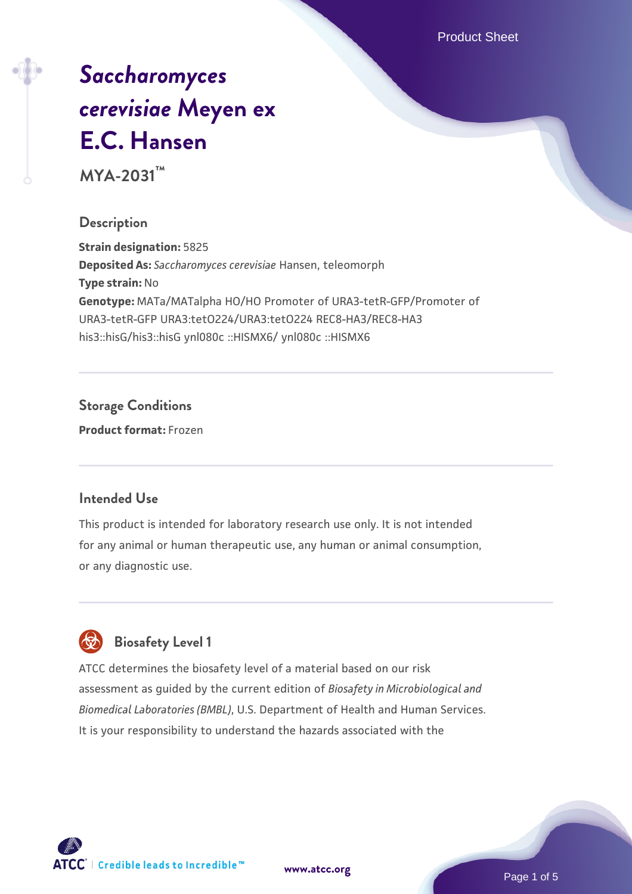Product Sheet

# *[Saccharomyces](https://www.atcc.org/products/mya-2031) [cerevisiae](https://www.atcc.org/products/mya-2031)* **[Meyen ex](https://www.atcc.org/products/mya-2031) [E.C. Hansen](https://www.atcc.org/products/mya-2031)**

**MYA-2031™**

### **Description**

**Strain designation:** 5825 **Deposited As:** *Saccharomyces cerevisiae* Hansen, teleomorph **Type strain:** No **Genotype:** MATa/MATalpha HO/HO Promoter of URA3-tetR-GFP/Promoter of URA3-tetR-GFP URA3:tetO224/URA3:tetO224 REC8-HA3/REC8-HA3 his3::hisG/his3::hisG ynl080c ::HISMX6/ ynl080c ::HISMX6

# **Storage Conditions**

**Product format:** Frozen

#### **Intended Use**

This product is intended for laboratory research use only. It is not intended for any animal or human therapeutic use, any human or animal consumption, or any diagnostic use.



# **Biosafety Level 1**

ATCC determines the biosafety level of a material based on our risk assessment as guided by the current edition of *Biosafety in Microbiological and Biomedical Laboratories (BMBL)*, U.S. Department of Health and Human Services. It is your responsibility to understand the hazards associated with the

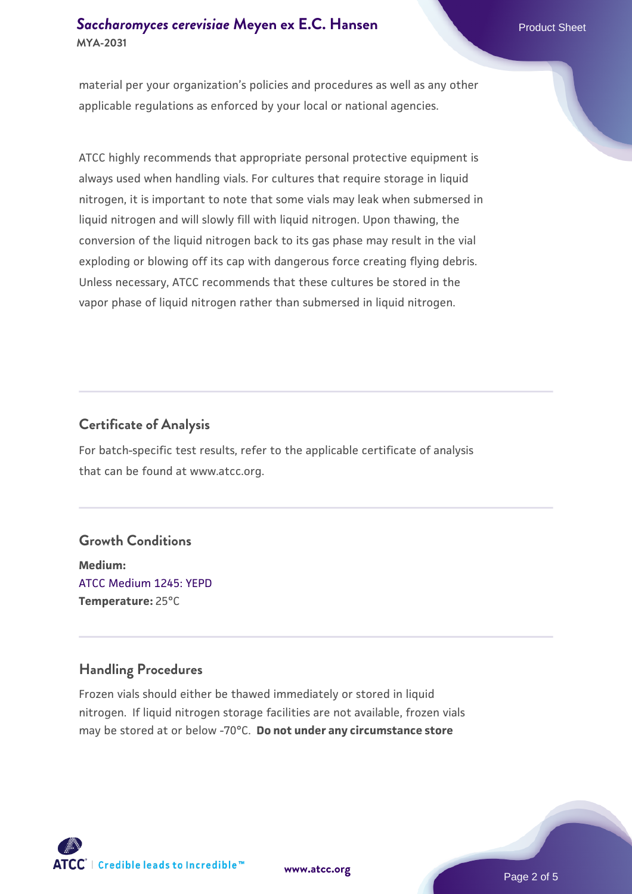# **[Saccharomyces cerevisiae](https://www.atcc.org/products/mya-2031)** [Meyen ex E.C. Hansen](https://www.atcc.org/products/mya-2031) **MYA-2031**

material per your organization's policies and procedures as well as any other applicable regulations as enforced by your local or national agencies.

ATCC highly recommends that appropriate personal protective equipment is always used when handling vials. For cultures that require storage in liquid nitrogen, it is important to note that some vials may leak when submersed in liquid nitrogen and will slowly fill with liquid nitrogen. Upon thawing, the conversion of the liquid nitrogen back to its gas phase may result in the vial exploding or blowing off its cap with dangerous force creating flying debris. Unless necessary, ATCC recommends that these cultures be stored in the vapor phase of liquid nitrogen rather than submersed in liquid nitrogen.

# **Certificate of Analysis**

For batch-specific test results, refer to the applicable certificate of analysis that can be found at www.atcc.org.

#### **Growth Conditions**

**Medium:**  [ATCC Medium 1245: YEPD](https://www.atcc.org/-/media/product-assets/documents/microbial-media-formulations/1/2/4/5/atcc-medium-1245.pdf?rev=705ca55d1b6f490a808a965d5c072196) **Temperature:** 25°C

# **Handling Procedures**

Frozen vials should either be thawed immediately or stored in liquid nitrogen. If liquid nitrogen storage facilities are not available, frozen vials may be stored at or below -70°C. **Do not under any circumstance store**



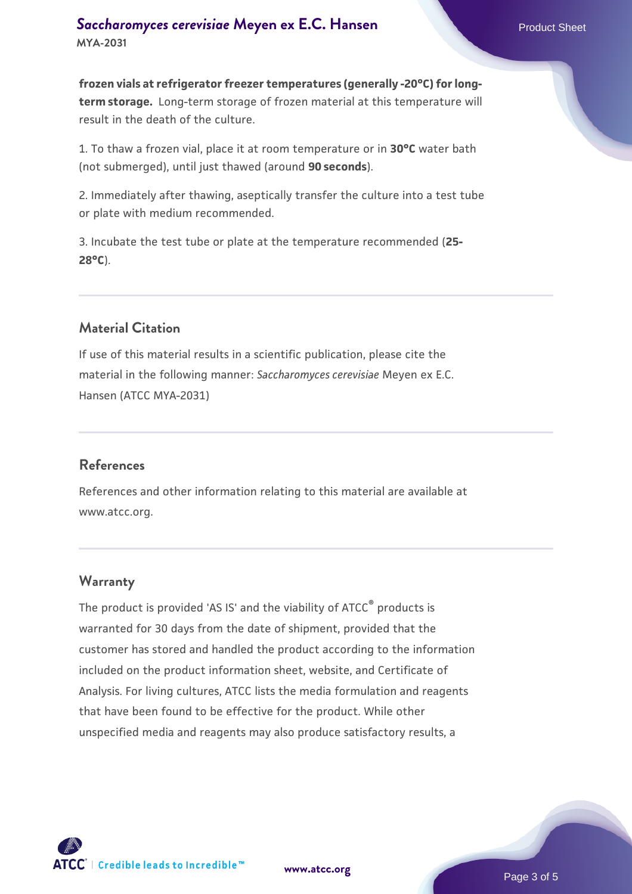**frozen vials at refrigerator freezer temperatures (generally -20°C) for longterm storage.** Long-term storage of frozen material at this temperature will result in the death of the culture.

1. To thaw a frozen vial, place it at room temperature or in **30°C** water bath (not submerged), until just thawed (around **90 seconds**).

2. Immediately after thawing, aseptically transfer the culture into a test tube or plate with medium recommended.

3. Incubate the test tube or plate at the temperature recommended (**25- 28°C**).

# **Material Citation**

If use of this material results in a scientific publication, please cite the material in the following manner: *Saccharomyces cerevisiae* Meyen ex E.C. Hansen (ATCC MYA-2031)

#### **References**

References and other information relating to this material are available at www.atcc.org.

#### **Warranty**

The product is provided 'AS IS' and the viability of ATCC® products is warranted for 30 days from the date of shipment, provided that the customer has stored and handled the product according to the information included on the product information sheet, website, and Certificate of Analysis. For living cultures, ATCC lists the media formulation and reagents that have been found to be effective for the product. While other unspecified media and reagents may also produce satisfactory results, a

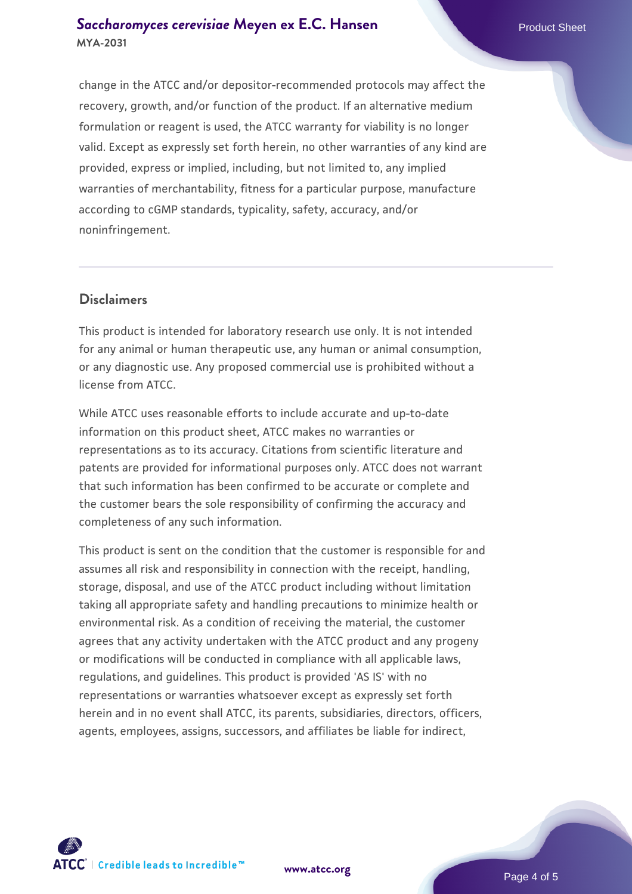### **[Saccharomyces cerevisiae](https://www.atcc.org/products/mya-2031)** [Meyen ex E.C. Hansen](https://www.atcc.org/products/mya-2031) **MYA-2031**

change in the ATCC and/or depositor-recommended protocols may affect the recovery, growth, and/or function of the product. If an alternative medium formulation or reagent is used, the ATCC warranty for viability is no longer valid. Except as expressly set forth herein, no other warranties of any kind are provided, express or implied, including, but not limited to, any implied warranties of merchantability, fitness for a particular purpose, manufacture according to cGMP standards, typicality, safety, accuracy, and/or noninfringement.

### **Disclaimers**

This product is intended for laboratory research use only. It is not intended for any animal or human therapeutic use, any human or animal consumption, or any diagnostic use. Any proposed commercial use is prohibited without a license from ATCC.

While ATCC uses reasonable efforts to include accurate and up-to-date information on this product sheet, ATCC makes no warranties or representations as to its accuracy. Citations from scientific literature and patents are provided for informational purposes only. ATCC does not warrant that such information has been confirmed to be accurate or complete and the customer bears the sole responsibility of confirming the accuracy and completeness of any such information.

This product is sent on the condition that the customer is responsible for and assumes all risk and responsibility in connection with the receipt, handling, storage, disposal, and use of the ATCC product including without limitation taking all appropriate safety and handling precautions to minimize health or environmental risk. As a condition of receiving the material, the customer agrees that any activity undertaken with the ATCC product and any progeny or modifications will be conducted in compliance with all applicable laws, regulations, and guidelines. This product is provided 'AS IS' with no representations or warranties whatsoever except as expressly set forth herein and in no event shall ATCC, its parents, subsidiaries, directors, officers, agents, employees, assigns, successors, and affiliates be liable for indirect,